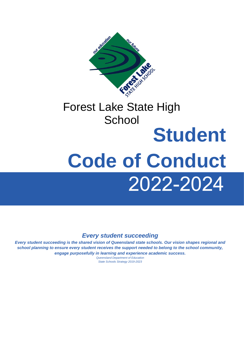

## **School Student**

# 2022-2024 **Code of Conduct**

## *Every student succeeding*

*Every student succeeding is the shared vision of Queensland state schools. Our vision shapes regional and school planning to ensure every student receives the support needed to belong to the school community, engage purposefully in learning and experience academic success.*

*Queensland Department of Education State Schools Strategy 2019-2023*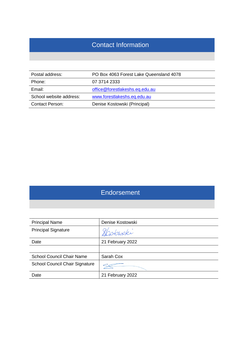## Contact Information

| Postal address:         | PO Box 4063 Forest Lake Queensland 4078 |
|-------------------------|-----------------------------------------|
| Phone:                  | 07 3714 2333                            |
| Email:                  | office@forestlakeshs.eq.edu.au          |
| School website address: | www.forestlakeshs.eq.edu.au             |
| <b>Contact Person:</b>  | Denise Kostowski (Principal)            |

## Endorsement

| <b>Principal Name</b>            | Denise Kostowski |
|----------------------------------|------------------|
| <b>Principal Signature</b>       | Slookupki        |
| Date                             | 21 February 2022 |
|                                  |                  |
| <b>School Council Chair Name</b> | Sarah Cox        |
| School Council Chair Signature   |                  |
| Date                             | 21 February 2022 |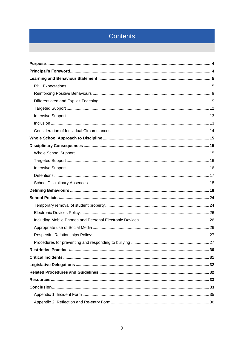## Contents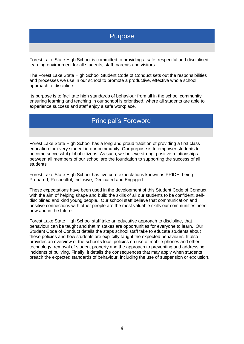## <span id="page-3-0"></span>Purpose

Forest Lake State High School is committed to providing a safe, respectful and disciplined learning environment for all students, staff, parents and visitors.

The Forest Lake State High School Student Code of Conduct sets out the responsibilities and processes we use in our school to promote a productive, effective whole school approach to discipline.

<span id="page-3-1"></span>Its purpose is to facilitate high standards of behaviour from all in the school community, ensuring learning and teaching in our school is prioritised, where all students are able to experience success and staff enjoy a safe workplace.

## Principal's Foreword

Forest Lake State High School has a long and proud tradition of providing a first class education for every student in our community. Our purpose is to empower students to become successful global citizens. As such, we believe strong, positive relationships between all members of our school are the foundation to supporting the success of all students.

Forest Lake State High School has five core expectations known as PRIDE: being Prepared, Respectful, Inclusive, Dedicated and Engaged.

These expectations have been used in the development of this Student Code of Conduct, with the aim of helping shape and build the skills of all our students to be confident, selfdisciplined and kind young people. Our school staff believe that communication and positive connections with other people are the most valuable skills our communities need now and in the future.

Forest Lake State High School staff take an educative approach to discipline, that behaviour can be taught and that mistakes are opportunities for everyone to learn. Our Student Code of Conduct details the steps school staff take to educate students about these policies and how students are explicitly taught the expected behaviours. It also provides an overview of the school's local policies on use of mobile phones and other technology, removal of student property and the approach to preventing and addressing incidents of bullying. Finally, it details the consequences that may apply when students breach the expected standards of behaviour, including the use of suspension or exclusion.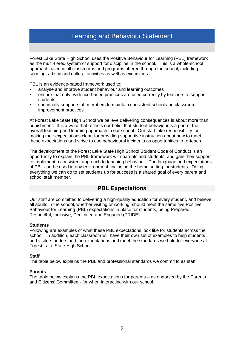## Learning and Behaviour Statement

<span id="page-4-0"></span>Forest Lake State High School uses the Positive Behaviour for Learning (PBL) framework as the multi-tiered system of support for discipline in the school. This is a whole-school approach, used in all classrooms and programs offered through the school, including sporting, artistic and cultural activities as well as excursions.

PBL is an evidence-based framework used to:

- analyse and improve student behaviour and learning outcomes
- ensure that only evidence-based practices are used correctly by teachers to support students
- continually support staff members to maintain consistent school and classroom improvement practices.

At Forest Lake State High School we believe delivering consequences is about more than punishment. It is a word that reflects our belief that student behaviour is a part of the overall teaching and learning approach in our school. Our staff take responsibility for making their expectations clear, for providing supportive instruction about how to meet these expectations and strive to use behavioural incidents as opportunities to re-teach.

The development of the Forest Lake State High School Student Code of Conduct is an opportunity to explain the PBL framework with parents and students, and gain their support to implement a consistent approach to teaching behaviour. The language and expectations of PBL can be used in any environment, including the home setting for students. Doing everything we can do to set students up for success is a shared goal of every parent and school staff member.

#### **PBL Expectations**

<span id="page-4-1"></span>Our staff are committed to delivering a high-quality education for every student, and believe all adults in the school, whether visiting or working, should meet the same five Positive Behaviour for Learning (PBL) expectations in place for students, being Prepared, Respectful, Inclusive, Dedicated and Engaged (PRIDE).

#### **Students**

Following are examples of what these PBL expectations look like for students across the school. In addition, each classroom will have their own set of examples to help students and visitors understand the expectations and meet the standards we hold for everyone at Forest Lake State High School.

#### **Staff**

The table below explains the PBL and professional standards we commit to as staff.

#### **Parents**

The table below explains the PBL expectations for parents – as endorsed by the Parents and Citizens' Committee - for when interacting with our school.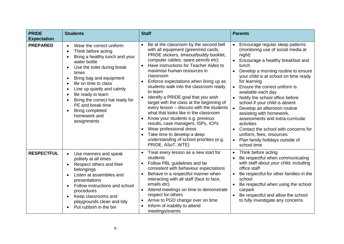| <b>PRIDE</b><br><b>Expectation</b> | <b>Students</b>                                                                                                                                                                                                                                                                                                                                                                                                                  | <b>Staff</b>                                                                                                                                                                                                                                                                                                                                                                                                                                                                                                                                                                                                                                                                                                                                     | <b>Parents</b>                                                                                                                                                                                                                                                                                                                                                                                                                                                                                                                                                                                                                               |  |
|------------------------------------|----------------------------------------------------------------------------------------------------------------------------------------------------------------------------------------------------------------------------------------------------------------------------------------------------------------------------------------------------------------------------------------------------------------------------------|--------------------------------------------------------------------------------------------------------------------------------------------------------------------------------------------------------------------------------------------------------------------------------------------------------------------------------------------------------------------------------------------------------------------------------------------------------------------------------------------------------------------------------------------------------------------------------------------------------------------------------------------------------------------------------------------------------------------------------------------------|----------------------------------------------------------------------------------------------------------------------------------------------------------------------------------------------------------------------------------------------------------------------------------------------------------------------------------------------------------------------------------------------------------------------------------------------------------------------------------------------------------------------------------------------------------------------------------------------------------------------------------------------|--|
| <b>PREPARED</b>                    | Wear the correct uniform<br>Think before acting<br>Bring a healthy lunch and your<br>water bottle<br>Use the toilet during break<br>$\bullet$<br>times<br>Bring bag and equipment<br>$\bullet$<br>Be on time to class<br>$\bullet$<br>Line up quietly and calmly<br>$\bullet$<br>Be ready to learn<br>$\bullet$<br>Bring the correct hat ready for<br>PE and break time<br><b>Bring completed</b><br>homework and<br>assignments | Be at the classroom by the second bell<br>with all equipment (green/red cards,<br>PRIDE stickers, timeout/buddy booklet,<br>computer cables, spare pencils etc)<br>Have instructions for Teacher Aides to<br>maximise human resources in<br>classroom<br>Enforce expectations when lining up as<br>students walk into the classroom ready<br>to learn<br>Identify a PRIDE goal that you wish<br>$\bullet$<br>target with the class at the beginning of<br>every lesson - discuss with the students<br>what that looks like in the classroom<br>Know your students e.g. previous<br>results, case managers, ISPs, ICPs<br>Wear professional dress<br>Take time to develop a deep<br>understanding of school priorities (e.g.<br>PRIDE, ASoT, WTE) | Encourage regular sleep patterns<br>(monitoring use of social media at<br>night)<br>Encourage a healthy breakfast and<br><b>lunch</b><br>Develop a morning routine to ensure<br>your child is at school on time ready<br>for learning<br>Ensure the correct uniform is<br>$\bullet$<br>available each day<br>Notify the school office before<br>school if your child is absent<br>Develop an afternoon routine<br>$\bullet$<br>assisting with homework,<br>assessments and extra-curricular<br>activities<br>Contact the school with concerns for<br>$\bullet$<br>uniform, fees, resources<br>Plan family holidays outside of<br>school time |  |
| <b>RESPECTFUL</b>                  | Use manners and speak<br>$\bullet$<br>politely at all times<br>Respect others and their<br>$\bullet$<br>belongings<br>Listen at assemblies and<br>$\bullet$<br>presentations<br>Follow instructions and school<br>$\bullet$<br>procedures<br>Keep classrooms and<br>$\bullet$<br>playgrounds clean and tidy<br>Put rubbish in the bin                                                                                            | Treat every lesson as a new start for<br>students<br>Follow PBL guidelines and be<br>consistent with behaviour expectations<br>Behave in a respectful manner when<br>interacting with all staff (face to face,<br>emails etc)<br>Attend meetings on time to demonstrate<br>respect for others<br>Arrive to PGD change over on time<br>Inform of inability to attend<br>meetings/events                                                                                                                                                                                                                                                                                                                                                           | Think before acting<br>Be respectful when communicating<br>$\bullet$<br>with staff about your child; including<br>office staff<br>• Be respectful for other families in the<br>school<br>Be respectful when using the school<br>carpark<br>• Be respectful and allow the school<br>to fully investigate any concerns                                                                                                                                                                                                                                                                                                                         |  |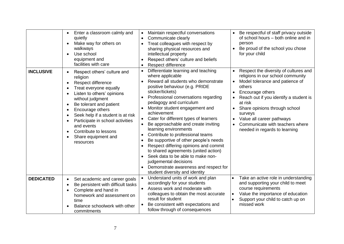|                  | Enter a classroom calmly and<br>quietly<br>Make way for others on<br>walkways<br>Use school<br>equipment and<br>facilities with care                                                                                                                                                                                                                      | Maintain respectful conversations<br>$\bullet$<br>Communicate clearly<br>$\bullet$<br>Treat colleagues with respect by<br>sharing physical resources and<br>intellectual property<br>Respect others' culture and beliefs<br>Respect difference                                                                                                                                                                                                                                                                                                                                                                                                                                                                     | • Be respectful of staff privacy outside<br>of school hours - both online and in<br>person<br>Be proud of the school you chose<br>for your child                                                                                                                                                                                                                        |
|------------------|-----------------------------------------------------------------------------------------------------------------------------------------------------------------------------------------------------------------------------------------------------------------------------------------------------------------------------------------------------------|--------------------------------------------------------------------------------------------------------------------------------------------------------------------------------------------------------------------------------------------------------------------------------------------------------------------------------------------------------------------------------------------------------------------------------------------------------------------------------------------------------------------------------------------------------------------------------------------------------------------------------------------------------------------------------------------------------------------|-------------------------------------------------------------------------------------------------------------------------------------------------------------------------------------------------------------------------------------------------------------------------------------------------------------------------------------------------------------------------|
| <b>INCLUSIVE</b> | Respect others' culture and<br>religion<br>Respect difference<br>Treat everyone equally<br>Listen to others' opinions<br>without judgment<br>Be tolerant and patient<br>Encourage others<br>Seek help if a student is at risk<br>$\bullet$<br>Participate in school activities<br>and events<br>Contribute to lessons<br>Share equipment and<br>resources | Differentiate learning and teaching<br>where applicable<br>Reward all students who demonstrate<br>positive behaviour (e.g. PRIDE<br>sticker/tickets)<br>Professional conversations regarding<br>$\bullet$<br>pedagogy and curriculum<br>Monitor student engagement and<br>achievement<br>Cater for different types of learners<br>Be approachable and create inviting<br>learning environments<br>Contribute to professional teams<br>Be supportive of other people's needs<br>Respect differing opinions and commit<br>to shared agreements (united action)<br>Seek data to be able to make non-<br>$\bullet$<br>judgemental decisions<br>Demonstrate awareness and respect for<br>student diversity and identity | Respect the diversity of cultures and<br>religions in our school community<br>Model tolerance and patience of<br>others<br>Encourage others<br>Reach out if you identify a student is<br>at risk<br>Share opinions through school<br>surveys<br>Value all career pathways<br>$\bullet$<br>Communicate with teachers where<br>$\bullet$<br>needed in regards to learning |
| <b>DEDICATED</b> | Set academic and career goals<br>Be persistent with difficult tasks<br>$\bullet$<br>Complete and hand in<br>homework and assessment on<br>time<br>Balance schoolwork with other<br>commitments                                                                                                                                                            | Understand units of work and plan<br>accordingly for your students<br>Assess work and moderate with<br>$\bullet$<br>colleagues to obtain the most accurate<br>result for student<br>Be consistent with expectations and<br>follow through of consequences                                                                                                                                                                                                                                                                                                                                                                                                                                                          | Take an active role in understanding<br>$\bullet$<br>and supporting your child to meet<br>course requirements<br>Value the importance of education<br>$\bullet$<br>Support your child to catch up on<br>missed work                                                                                                                                                     |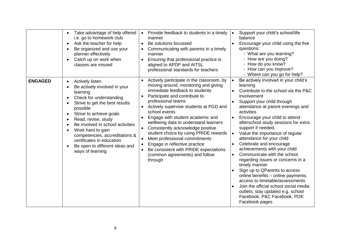|                | Take advantage of help offered<br>$\bullet$<br>i.e. go to homework club<br>Ask the teacher for help<br>Be organized and use your<br>planner effectively<br>Catch up on work when<br>classes are missed                                                                                                                                                                                    | Provide feedback to students in a timely<br>$\bullet$<br>manner<br>Be solutions focussed<br>Communicating with parents in a timely<br>manner<br>Ensuring that professional practice is<br>aligned to APDP and AITSL<br>professional standards for teachers                                                                                                                                                                                                                                                                                                                         | Support your child's school/life<br>balance<br>Encourage your child using the five<br>questions:<br>- What are you learning?<br>- How are you doing?<br>- How do you know?<br>- How can you improve?<br>- Where can you go for help?                                                                                                                                                                                                                                                                                                                                                                                                                                                                                                                                                     |
|----------------|-------------------------------------------------------------------------------------------------------------------------------------------------------------------------------------------------------------------------------------------------------------------------------------------------------------------------------------------------------------------------------------------|------------------------------------------------------------------------------------------------------------------------------------------------------------------------------------------------------------------------------------------------------------------------------------------------------------------------------------------------------------------------------------------------------------------------------------------------------------------------------------------------------------------------------------------------------------------------------------|------------------------------------------------------------------------------------------------------------------------------------------------------------------------------------------------------------------------------------------------------------------------------------------------------------------------------------------------------------------------------------------------------------------------------------------------------------------------------------------------------------------------------------------------------------------------------------------------------------------------------------------------------------------------------------------------------------------------------------------------------------------------------------------|
| <b>ENGAGED</b> | <b>Actively listen</b><br>Be actively involved in your<br>learning<br>Check for understanding<br>Strive to get the best results<br>possible<br>Strive to achieve goals<br>Read, revise, study<br>$\epsilon$<br>Be involved in school activities<br>Work hard to gain<br>competencies, accreditations &<br>certificates in education<br>Be open to different ideas and<br>ways of learning | Actively participate in the classroom, by<br>moving around, monitoring and giving<br>immediate feedback to students<br>Participate and contribute to<br>professional teams<br>Actively supervise students at PGD and<br>school events<br>Engage with student academic and<br>wellbeing data to understand learners<br>Consistently acknowledge positive<br>student choice by using PRIDE rewards<br>Meet professional commitments<br>Engage in reflective practice<br>$\bullet$<br>Be consistent with PRIDE expectations<br>$\bullet$<br>(common agreements) and follow<br>through | Be actively involved in your child's<br>learning<br>Contribute to the school via the P&C<br>involvement<br>Support your child through<br>attendance at parent evenings and<br>activities<br>Encourage your child to attend<br>$\bullet$<br>afterschool study sessions for extra<br>support if needed.<br>Value the importance of regular<br>attendance for your child<br>Celebrate and encourage<br>$\bullet$<br>achievements with your child<br>Communicate with the school<br>regarding issues or concerns in a<br>timely manner<br>Sign up to QParents to access<br>online benefits - online payments,<br>access to timetable/assessments<br>Join the official school social media<br>$\bullet$<br>outlets; stay updated e.g. school<br>Facebook, P&C Facebook, POE<br>Facebook pages |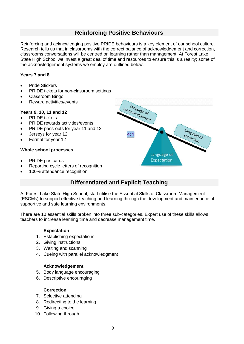## **Reinforcing Positive Behaviours**

<span id="page-8-0"></span>Reinforcing and acknowledging positive PRIDE behaviours is a key element of our school culture. Research tells us that in classrooms with the correct balance of acknowledgement and correction, classrooms conversations will be centred on learning rather than management. At Forest Lake State High School we invest a great deal of time and resources to ensure this is a reality; some of the acknowledgement systems we employ are outlined below.

#### **Years 7 and 8**

- Pride Stickers
- PRIDE tickets for non-classroom settings
- Classroom Bingo
- Reward activities/events

#### **Years 9, 10, 11 and 12**

- PRIDE tickets
- PRIDE rewards activities/events
- PRIDE pass-outs for year 11 and 12
- Jerseys for year 12
- Formal for year 12

#### **Whole school processes**

- PRIDE postcards
- Reporting cycle letters of recognition
- <span id="page-8-1"></span>100% attendance recognition

## **Differentiated and Explicit Teaching**

At Forest Lake State High School, staff utilise the Essential Skills of Classroom Management (ESCMs) to support effective teaching and learning through the development and maintenance of supportive and safe learning environments.

There are 10 essential skills broken into three sub-categories. Expert use of these skills allows teachers to increase learning time and decrease management time.

#### **Expectation**

- 1. Establishing expectations
- 2. Giving instructions
- 3. Waiting and scanning
- 4. Cueing with parallel acknowledgment

#### **Acknowledgement**

- 5. Body language encouraging
- 6. Descriptive encouraging

#### **Correction**

- 7. Selective attending
- 8. Redirecting to the learning
- 9. Giving a choice
- 10. Following through

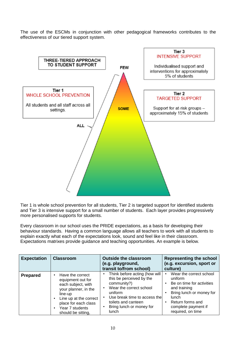The use of the ESCMs in conjunction with other pedagogical frameworks contributes to the effectiveness of our tiered support system.



Tier 1 is whole school prevention for all students, Tier 2 is targeted support for identified students and Tier 3 is intensive support for a small number of students. Each layer provides progressively more personalised supports for students.

Every classroom in our school uses the PRIDE expectations, as a basis for developing their behaviour standards. Having a common language allows all teachers to work with all students to explain exactly what each of the expectations look, sound and feel like in their classroom. Expectations matrixes provide guidance and teaching opportunities. An example is below.

| <b>Expectation</b> | <b>Classroom</b>                                                                                                                                                                                         | <b>Outside the classroom</b><br>(e.g. playground,<br>transit to/from school)                                                                                                                                      | <b>Representing the school</b><br>(e.g. excursion, sport or<br>culture)                                                                                                              |
|--------------------|----------------------------------------------------------------------------------------------------------------------------------------------------------------------------------------------------------|-------------------------------------------------------------------------------------------------------------------------------------------------------------------------------------------------------------------|--------------------------------------------------------------------------------------------------------------------------------------------------------------------------------------|
| <b>Prepared</b>    | Have the correct<br>٠<br>equipment out for<br>each subject, with<br>your planner, in the<br>line-up<br>Line up at the correct<br>٠<br>place for each class<br>Year 7 students<br>٠<br>should be sitting, | Think before acting (how will<br>this be perceived by the<br>community?)<br>Wear the correct school<br>uniform<br>Use break time to access the<br>toilets and canteen<br>Bring lunch or money for<br><b>lunch</b> | Wear the correct school<br>uniform<br>Be on time for activities<br>and training<br>Bring lunch or money for<br>lunch<br>Return forms and<br>complete payment if<br>required, on time |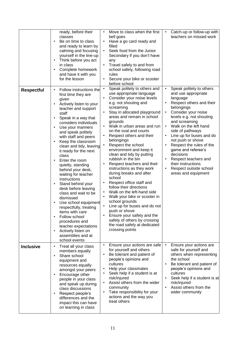|                   | ready, before their<br>classes<br>Be on time to class<br>$\bullet$<br>and ready to learn by<br>calming and focusing<br>yourself in the line-up<br>Think before you act<br>$\bullet$<br>in class<br>Complete homework<br>$\bullet$<br>and have it with you<br>for the lesson                                                                                                                                                                                                                                                                                                                                                                                                                                                                                                                                                  | Move to class when the first<br>Catch-up or follow-up with<br>$\bullet$<br>teachers on missed work<br>bell goes<br>Have a go card ready and<br>$\bullet$<br>filled<br>Seek food from the Junior<br>Secondary if you don't have<br>any<br>Travel safely to and from<br>school safely, following road<br>rules<br>Secure your bike or scooter<br>$\bullet$<br>before school                                                                                                                                                                                                                                                                                                                                                                                                                                                                                                                                                                                                                                                                                                                                                                                                                                                                                                                                                                                                                                                                            |
|-------------------|------------------------------------------------------------------------------------------------------------------------------------------------------------------------------------------------------------------------------------------------------------------------------------------------------------------------------------------------------------------------------------------------------------------------------------------------------------------------------------------------------------------------------------------------------------------------------------------------------------------------------------------------------------------------------------------------------------------------------------------------------------------------------------------------------------------------------|------------------------------------------------------------------------------------------------------------------------------------------------------------------------------------------------------------------------------------------------------------------------------------------------------------------------------------------------------------------------------------------------------------------------------------------------------------------------------------------------------------------------------------------------------------------------------------------------------------------------------------------------------------------------------------------------------------------------------------------------------------------------------------------------------------------------------------------------------------------------------------------------------------------------------------------------------------------------------------------------------------------------------------------------------------------------------------------------------------------------------------------------------------------------------------------------------------------------------------------------------------------------------------------------------------------------------------------------------------------------------------------------------------------------------------------------------|
| <b>Respectful</b> | Follow instructions the<br>$\bullet$<br>first time they are<br>given<br>Actively listen to your<br>$\bullet$<br>teacher and support<br>staff<br>Speak in a way that<br>$\bullet$<br>considers individuals<br>Use your manners<br>$\bullet$<br>and speak politely<br>with staff and peers<br>Keep the classroom<br>$\bullet$<br>clean and tidy, leaving<br>it ready for the next<br>class<br>Enter the room<br>$\bullet$<br>quietly, standing<br>behind your desk,<br>waiting for teacher<br>instructions<br>Stand behind your<br>$\bullet$<br>desk before leaving<br>class and wait to be<br>dismissed<br>Use school equipment<br>respectfully, treating<br>items with care<br>Follow school<br>$\bullet$<br>procedures and<br>teacher expectations<br>Actively listen on<br>$\bullet$<br>assemblies and at<br>school events | Speak politely to others and<br>Speak politely to others<br>$\bullet$<br>$\bullet$<br>use appropriate language<br>and use appropriate<br>Consider your noise levels<br>$\bullet$<br>language<br>Respect others and their<br>e.g. not shouting and<br>$\bullet$<br>belongings<br>screaming<br>Stay in allocated playground<br>Consider your noise<br>$\bullet$<br>areas and remain in school<br>levels e.g. not shouting<br>and screaming<br>grounds<br>Walk on the left hand<br>Walk in urban areas and run<br>$\bullet$<br>$\bullet$<br>on the oval and courts<br>side of pathways<br>Respect others and their<br>Line up for buses and do<br>$\bullet$<br>not push or shove<br>belongings<br>Respect the school<br>Respect the rules of the<br>$\bullet$<br>environment and keep it<br>game and referee's<br>clean and tidy by putting<br>decisions<br>rubbish in the bin<br>Respect teachers and<br>$\bullet$<br>Respect teachers and their<br>their instructions<br>instructions as they work<br>Respect outside school<br>$\bullet$<br>during breaks and after<br>areas and equipment<br>school<br>Respect office staff and<br>follow their directions<br>Walk on the left-hand side<br>$\bullet$<br>Walk your bike or scooter in<br>$\bullet$<br>school grounds<br>Line up for buses and do not<br>$\bullet$<br>push or shove<br>Ensure your safety and the<br>safety of others by crossing<br>the road safely at dedicated<br>crossing points |
| <b>Inclusive</b>  | Treat all your class<br>$\bullet$<br>members equally<br>Share school<br>$\bullet$<br>equipment and<br>resources equally<br>amongst your peers<br>Encourage other<br>$\bullet$<br>people in your class<br>and speak up during<br>class discussions<br>Respect people's<br>differences and the<br>impact this can have<br>on learning in class                                                                                                                                                                                                                                                                                                                                                                                                                                                                                 | Ensure your actions are safe<br>Ensure your actions are<br>$\bullet$<br>$\bullet$<br>safe for yourself and<br>for yourself and others<br>Be tolerant and patient of<br>others when representing<br>people's opinions and<br>the school<br>cultures<br>Be tolerant and patient of<br>$\bullet$<br>Help your classmates<br>people's opinions and<br>cultures<br>Seek help if a student is at<br>risk/injured<br>Seek help if a student is at<br>$\bullet$<br>Assist others from the wider<br>risk/injured<br>$\bullet$<br>Assist others from the<br>community<br>$\bullet$<br>Take responsibility for your<br>wider community<br>$\bullet$<br>actions and the way you<br>treat others                                                                                                                                                                                                                                                                                                                                                                                                                                                                                                                                                                                                                                                                                                                                                                  |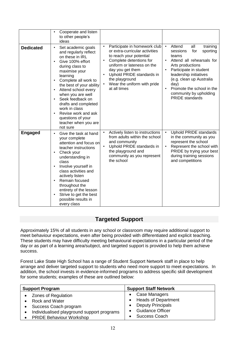|                  | Cooperate and listen<br>$\bullet$<br>to other people's<br>ideas                                                                                                                                                                                                                                                                                                                                                                                               |                                                                                                                                                                                                                                                                      |                                                                                                                                                                                                                                                                                                                       |
|------------------|---------------------------------------------------------------------------------------------------------------------------------------------------------------------------------------------------------------------------------------------------------------------------------------------------------------------------------------------------------------------------------------------------------------------------------------------------------------|----------------------------------------------------------------------------------------------------------------------------------------------------------------------------------------------------------------------------------------------------------------------|-----------------------------------------------------------------------------------------------------------------------------------------------------------------------------------------------------------------------------------------------------------------------------------------------------------------------|
| <b>Dedicated</b> | Set academic goals<br>$\bullet$<br>and regularly reflect<br>on these in IRL<br>Give 100% effort<br>$\bullet$<br>during class to<br>maximise your<br>learning<br>Complete all work to<br>$\bullet$<br>the best of your ability<br>Attend school every<br>$\bullet$<br>when you are well<br>Seek feedback on<br>$\bullet$<br>drafts and completed<br>work in class<br>Revise work and ask<br>$\bullet$<br>questions of your<br>teacher when you are<br>not sure | Participate in homework club<br>or extra-curricular activities<br>to reach your potential<br>Complete detentions for<br>uniform or lateness on the<br>day you get them<br>Uphold PRIDE standards in<br>the playground<br>Wear the uniform with pride<br>at all times | Attend<br>training<br>$\bullet$<br>all<br>sessions<br>for<br>sporting<br>teams<br>Attend all rehearsals for<br>$\bullet$<br>Arts productions<br>Participate in student<br>leadership initiatives<br>(e.g. clean up Australia<br>day)<br>Promote the school in the<br>community by upholding<br><b>PRIDE</b> standards |
| <b>Engaged</b>   | Give the task at hand<br>$\bullet$<br>your complete<br>attention and focus on<br>teacher instructions<br>Check your<br>$\bullet$<br>understanding in<br>class<br>Involve yourself in<br>$\bullet$<br>class activities and<br>actively listen<br>Remain focused<br>$\bullet$<br>throughout the<br>entirety of the lesson<br>Strive to get the best<br>$\bullet$<br>possible results in<br>every class                                                          | Actively listen to instructions<br>from adults within the school<br>and community<br>Uphold PRIDE standards in<br>the playground and<br>community as you represent<br>the school                                                                                     | <b>Uphold PRIDE standards</b><br>$\bullet$<br>in the community as you<br>represent the school<br>Represent the school with<br>PRIDE by trying your best<br>during training sessions<br>and competitions                                                                                                               |

## **Targeted Support**

<span id="page-11-0"></span>Approximately 15% of all students in any school or classroom may require additional support to meet behaviour expectations, even after being provided with differentiated and explicit teaching. These students may have difficulty meeting behavioural expectations in a particular period of the day or as part of a learning area/subject, and targeted support is provided to help them achieve success.

Forest Lake State High School has a range of Student Support Network staff in place to help arrange and deliver targeted support to students who need more support to meet expectations. In addition, the school invests in evidence-informed programs to address specific skill development for some students; examples of these are outlined below:

| <b>Support Program</b>                                                                                                                                                | <b>Support Staff Network</b>                                                                                          |
|-----------------------------------------------------------------------------------------------------------------------------------------------------------------------|-----------------------------------------------------------------------------------------------------------------------|
| • Zones of Regulation<br><b>Rock and Water</b><br>Success Coach program<br>Individualised playground support programs<br>$\bullet$<br><b>PRIDE Behaviour Workshop</b> | Case Managers<br>• Heads of Department<br><b>Deputy Principals</b><br><b>Guidance Officer</b><br><b>Success Coach</b> |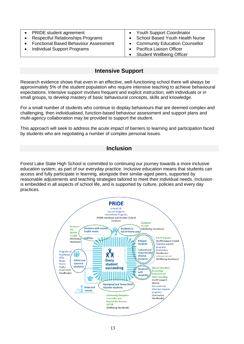| • PRIDE student agreement                | • Youth Support Coordinator       |
|------------------------------------------|-----------------------------------|
| <b>Respectful Relationships Programs</b> | • School Based Youth Health Nurse |
| • Functional Based Behaviour Assessment  | • Community Education Counsellor  |
| <b>Individual Support Programs</b>       | Pacifica Liaison Officer          |
|                                          | <b>Student Wellbeing Officer</b>  |

#### **Intensive Support**

<span id="page-12-0"></span>Research evidence shows that even in an effective, well-functioning school there will always be approximately 5% of the student population who require intensive teaching to achieve behavioural expectations. Intensive support involves frequent and explicit instruction, with individuals or in small groups, to develop mastery of basic behavioural concepts, skills and knowledge.

For a small number of students who continue to display behaviours that are deemed complex and challenging, then individualised, function-based behaviour assessment and support plans and multi-agency collaboration may be provided to support the student.

This approach will seek to address the acute impact of barriers to learning and participation faced by students who are negotiating a number of complex personal issues.

#### **Inclusion**

<span id="page-12-1"></span>Forest Lake State High School is committed to continuing our journey towards a more inclusive education system, as part of our everyday practice. Inclusive education means that students can access and fully participate in learning, alongside their similar-aged peers, supported by reasonable adjustments and teaching strategies tailored to meet their individual needs. Inclusion is embedded in all aspects of school life, and is supported by culture, policies and every day practices.

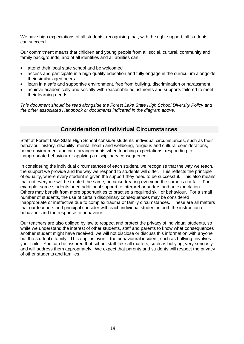We have high expectations of all students, recognising that, with the right support, all students can succeed.

Our commitment means that children and young people from all social, cultural, community and family backgrounds, and of all identities and all abilities can:

- attend their local state school and be welcomed
- access and participate in a high-quality education and fully engage in the curriculum alongside their similar-aged peers
- learn in a safe and supportive environment, free from bullying, discrimination or harassment
- achieve academically and socially with reasonable adjustments and supports tailored to meet their learning needs.

*This document should be read alongside the Forest Lake State High School Diversity Policy and the other associated Handbook or documents indicated in the diagram above.*

#### **Consideration of Individual Circumstances**

<span id="page-13-0"></span>Staff at Forest Lake State High School consider students' individual circumstances, such as their behaviour history, disability, mental health and wellbeing, religious and cultural considerations, home environment and care arrangements when teaching expectations, responding to inappropriate behaviour or applying a disciplinary consequence.

In considering the individual circumstances of each student, we recognise that the way we teach, the support we provide and the way we respond to students will differ. This reflects the principle of equality, where every student is given the support they need to be successful. This also means that not everyone will be treated the same, because treating everyone the same is not fair. For example, some students need additional support to interpret or understand an expectation. Others may benefit from more opportunities to practise a required skill or behaviour. For a small number of students, the use of certain disciplinary consequences may be considered inappropriate or ineffective due to complex trauma or family circumstances. These are all matters that our teachers and principal consider with each individual student in both the instruction of behaviour and the response to behaviour.

Our teachers are also obliged by law to respect and protect the privacy of individual students, so while we understand the interest of other students, staff and parents to know what consequences another student might have received, we will not disclose or discuss this information with anyone but the student's family. This applies even if the behavioural incident, such as bullying, involves your child. You can be assured that school staff take all matters, such as bullying, very seriously and will address them appropriately. We expect that parents and students will respect the privacy of other students and families.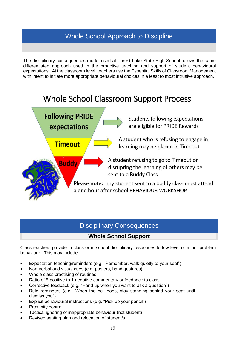## <span id="page-14-0"></span>Whole School Approach to Discipline

The disciplinary consequences model used at Forest Lake State High School follows the same differentiated approach used in the proactive teaching and support of student behavioural expectations. At the classroom level, teachers use the Essential Skills of Classroom Management with intent to initiate more appropriate behavioural choices in a least to most intrusive approach.

## **Whole School Classroom Support Process**

**Following PRIDE** Students following expectations are eligible for PRIDE Rewards expectations A student who is refusing to engage in **Timeout** learning may be placed in Timeout A student refusing to go to Timeout or **Buddy** disrupting the learning of others may be sent to a Buddy Class Please note: any student sent to a buddy class must attend a one hour after school BEHAVIOUR WORKSHOP.

## <span id="page-14-1"></span>Disciplinary Consequences

## **Whole School Support**

<span id="page-14-2"></span>Class teachers provide in-class or in-school disciplinary responses to low-level or minor problem behaviour. This may include:

- Expectation teaching/reminders (e.g. "Remember, walk quietly to your seat")
- Non-verbal and visual cues (e.g. posters, hand gestures)
- Whole class practising of routines
- Ratio of 5 positive to 1 negative commentary or feedback to class
- Corrective feedback (e.g. "Hand up when you want to ask a question")
- Rule reminders (e.g. "When the bell goes, stay standing behind your seat until I dismiss you")
- Explicit behavioural instructions (e.g. "Pick up your pencil")
- Proximity control
- Tactical ignoring of inappropriate behaviour (not student)
- Revised seating plan and relocation of student/s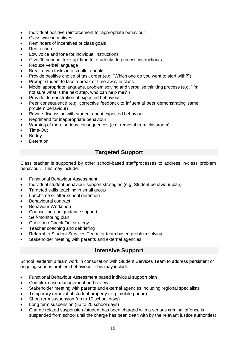- Individual positive reinforcement for appropriate behaviour
- Class wide incentives
- Reminders of incentives or class goals
- **Redirection**
- Low voice and tone for individual instructions
- Give 30 second 'take-up' time for student/s to process instruction/s
- Reduce verbal language
- Break down tasks into smaller chunks
- Provide positive choice of task order (e.g. "Which one do you want to start with?")
- Prompt student to take a break or time away in class
- Model appropriate language, problem solving and verbalise thinking process (e.g. "I'm not sure what is the next step, who can help me?")
- Provide demonstration of expected behaviour
- Peer consequence (e.g. corrective feedback to influential peer demonstrating same problem behaviour)
- Private discussion with student about expected behaviour
- Reprimand for inappropriate behaviour
- Warning of more serious consequences (e.g. removal from classroom)
- Time-Out
- **Buddy**
- <span id="page-15-0"></span>Detention

## **Targeted Support**

Class teacher is supported by other school-based staff/processes to address in-class problem behaviour. This may include:

- Functional Behaviour Assessment
- Individual student behaviour support strategies (e.g. Student behaviour plan)
- Targeted skills teaching in small group
- Lunchtime or after-school detention
- Behavioural contract
- Behaviour Workshop
- Counselling and guidance support
- Self-monitoring plan
- Check in / Check Out strategy
- Teacher coaching and debriefing
- Referral to Student Services Team for team based problem solving
- <span id="page-15-1"></span>Stakeholder meeting with parents and external agencies

#### **Intensive Support**

School leadership team work in consultation with Student Services Team to address persistent or ongoing serious problem behaviour. This may include:

- Functional Behaviour Assessment based individual support plan
- Complex case management and review
- Stakeholder meeting with parents and external agencies including regional specialists
- Temporary removal of student property (e.g. mobile phone)
- Short term suspension (up to 10 school days)
- Long term suspension (up to 20 school days)
- Charge related suspension (student has been charged with a serious criminal offence is suspended from school until the charge has been dealt with by the relevant justice authorities)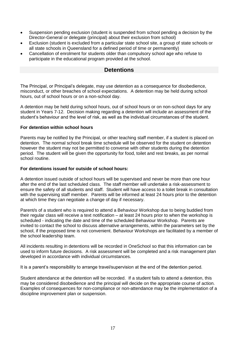- Suspension pending exclusion (student is suspended from school pending a decision by the Director-General or delegate (principal) about their exclusion from school)
- Exclusion (student is excluded from a particular state school site, a group of state schools or all state schools in Queensland for a defined period of time or permanently)
- <span id="page-16-0"></span>• Cancellation of enrolment for students older than compulsory school age who refuse to participate in the educational program provided at the school.

#### **Detentions**

The Principal, or Principal's delegate, may use detention as a consequence for disobedience, misconduct, or other breaches of school expectations. A detention may be held during school hours, out of school hours or on a non-school day.

A detention may be held during school hours, out of school hours or on non-school days for any student in Years 7-12. Decision making regarding a detention will include an assessment of the student's behaviour and the level of risk, as well as the individual circumstances of the student.

#### **For detention within school hours**

Parents may be notified by the Principal, or other teaching staff member, if a student is placed on detention. The normal school break time schedule will be observed for the student on detention however the student may not be permitted to converse with other students during the detention period. The student will be given the opportunity for food, toilet and rest breaks, as per normal school routine.

#### **For detentions issued for outside of school hours:**

A detention issued outside of school hours will be supervised and never be more than one hour after the end of the last scheduled class. The staff member will undertake a risk-assessment to ensure the safety of all students and staff. Student will have access to a toilet break in consultation with the supervising staff member. Parents will be informed at least 24 hours prior to the detention at which time they can negotiate a change of day if necessary.

Parent/s of a student who is required to attend a Behaviour Workshop due to being buddied from their regular class will receive a text notification – at least 24 hours prior to when the workshop is scheduled - indicating the date and time of the scheduled Behaviour Workshop. Parents are invited to contact the school to discuss alternative arrangements, within the parameters set by the school, if the proposed time is not convenient. Behaviour Workshops are facilitated by a member of the school leadership team.

All incidents resulting in detentions will be recorded in OneSchool so that this information can be used to inform future decisions. A risk assessment will be completed and a risk management plan developed in accordance with individual circumstances.

It is a parent's responsibility to arrange travel/supervision at the end of the detention period.

Student attendance at the detention will be recorded. If a student fails to attend a detention, this may be considered disobedience and the principal will decide on the appropriate course of action. Examples of consequences for non-compliance or non-attendance may be the implementation of a discipline improvement plan or suspension.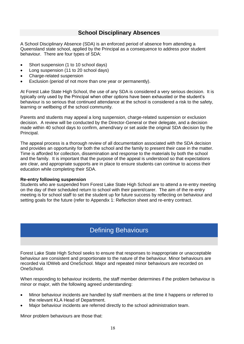#### **School Disciplinary Absences**

<span id="page-17-0"></span>A School Disciplinary Absence (SDA) is an enforced period of absence from attending a Queensland state school, applied by the Principal as a consequence to address poor student behaviour. There are four types of SDA:

- Short suspension (1 to 10 school days)
- Long suspension (11 to 20 school days)
- Charge-related suspension
- Exclusion (period of not more than one year or permanently).

At Forest Lake State High School, the use of any SDA is considered a very serious decision. It is typically only used by the Principal when other options have been exhausted or the student's behaviour is so serious that continued attendance at the school is considered a risk to the safety, learning or wellbeing of the school community.

Parents and students may appeal a long suspension, charge-related suspension or exclusion decision. A review will be conducted by the Director-General or their delegate, and a decision made within 40 school days to confirm, amend/vary or set aside the original SDA decision by the Principal.

The appeal process is a thorough review of all documentation associated with the SDA decision and provides an opportunity for both the school and the family to present their case in the matter. Time is afforded for collection, dissemination and response to the materials by both the school and the family. It is important that the purpose of the appeal is understood so that expectations are clear, and appropriate supports are in place to ensure students can continue to access their education while completing their SDA.

#### **Re-entry following suspension**

Students who are suspended from Forest Lake State High School are to attend a re-entry meeting on the day of their scheduled return to school with their parent/carer. The aim of the re-entry meeting is for school staff to set the student up for future success by reflecting on behaviour and setting goals for the future (refer to Appendix 1: Reflection sheet and re-entry contract.

## <span id="page-17-1"></span>Defining Behaviours

Forest Lake State High School seeks to ensure that responses to inappropriate or unacceptable behaviour are consistent and proportionate to the nature of the behaviour. Minor behaviours are recorded via IDWeb and OneSchool. Major and repeated minor behaviours are recorded on OneSchool.

When responding to behaviour incidents, the staff member determines if the problem behaviour is minor or major, with the following agreed understanding:

- Minor behaviour incidents are handled by staff members at the time it happens or referred to the relevant KLA Head of Department.
- Major behaviour incidents are referred directly to the school administration team.

Minor problem behaviours are those that: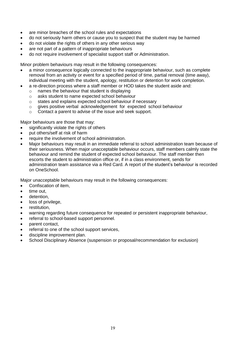- are minor breaches of the school rules and expectations
- do not seriously harm others or cause you to suspect that the student may be harmed
- do not violate the rights of others in any other serious way
- are not part of a pattern of inappropriate behaviours
- do not require involvement of specialist support staff or Administration.

Minor problem behaviours may result in the following consequences:

- a minor consequence logically connected to the inappropriate behaviour, such as complete removal from an activity or event for a specified period of time, partial removal (time away), individual meeting with the student, apology, restitution or detention for work completion.
	- a re-direction process where a staff member or HOD takes the student aside and:
		- o names the behaviour that student is displaying
		- o asks student to name expected school behaviour
		- o states and explains expected school behaviour if necessary
		- $\circ$  gives positive verbal acknowledgement for expected school behaviour
		- o Contact a parent to advise of the issue and seek support.

Major behaviours are those that may:

- significantly violate the rights of others
- put others/self at risk of harm
- require the involvement of school administration.
- Major behaviours may result in an immediate referral to school administration team because of their seriousness. When major unacceptable behaviour occurs, staff members calmly state the behaviour and remind the student of expected school behaviour. The staff member then escorts the student to administration office or, if in a class environment, sends for administration team assistance via a Red Card. A report of the student's behaviour is recorded on OneSchool.

Major unacceptable behaviours may result in the following consequences:

- Confiscation of item,
- time out.
- detention.
- loss of privilege,
- restitution.
- warning regarding future consequence for repeated or persistent inappropriate behaviour,
- referral to school-based support personnel.
- parent contact,
- referral to one of the school support services,
- discipline improvement plan.
- School Disciplinary Absence (suspension or proposal/recommendation for exclusion)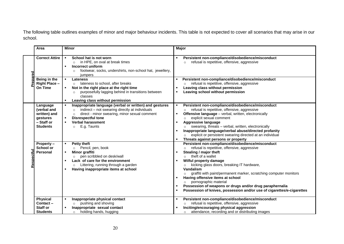The following table outlines examples of minor and major behaviour incidents. This table is not expected to cover all scenarios that may arise in our school.

|         | Area                                                                                 | <b>Minor</b>                                                                                                                                                                                                                                                                                             | <b>Major</b>                                                                                                                                                                                                                                                                                                                                                                                                                                                                                                                                                                                      |
|---------|--------------------------------------------------------------------------------------|----------------------------------------------------------------------------------------------------------------------------------------------------------------------------------------------------------------------------------------------------------------------------------------------------------|---------------------------------------------------------------------------------------------------------------------------------------------------------------------------------------------------------------------------------------------------------------------------------------------------------------------------------------------------------------------------------------------------------------------------------------------------------------------------------------------------------------------------------------------------------------------------------------------------|
|         | <b>Correct Attire</b>                                                                | School hat is not worn<br>in HPE, on oval at break times<br>$\circ$<br>Incorrect uniform<br>$\blacksquare$<br>footwear, socks, undershirts, non-school hat, jewellery,<br>$\circ$<br>jumpers                                                                                                             | Persistent non-compliance/disobedience/misconduct<br>refusal is repetitive, offensive, aggressive<br>$\circ$                                                                                                                                                                                                                                                                                                                                                                                                                                                                                      |
|         | Being in the<br><b>Right Place -</b><br><b>On Time</b>                               | <b>Lateness</b><br>lateness to school, after breaks<br>$\circ$<br>Not in the right place at the right time<br>purposefully lagging behind in transitions between<br>$\circ$<br>classes<br>Leaving class without permission                                                                               | Persistent non-compliance/disobedience/misconduct<br>refusal is repetitive, offensive, aggressive<br>Leaving class without permission<br>Leaving school without permission                                                                                                                                                                                                                                                                                                                                                                                                                        |
|         | Language<br>(verbal and<br>written) and<br>gestures<br>- Staff or<br><b>Students</b> | Inappropriate language (verbal or written) and gestures<br>$\blacksquare$<br>indirect - not swearing directly at individuals<br>$\circ$<br>direct - minor swearing, minor sexual comment<br>$\circ$<br><b>Disrespectful tone</b><br>$\blacksquare$<br><b>Verbal harassment</b><br>E.g. Taunts<br>$\circ$ | Persistent non-compliance/disobedience/misconduct<br>$\blacksquare$<br>refusal is repetitive, offensive, aggressive<br>$\circ$<br>Offensive language - verbal, written, electronically<br>٠.<br>explicit sexual comment<br>$\circ$<br><b>Aggressive language</b><br>swearing, threats - verbal, written, electronically<br>$\circ$<br>Inappropriate language/verbal abuse/directed profanity<br>explicit or persistent swearing directed at an individual<br>$\circ$<br>Threats against persons or property<br>٠.                                                                                 |
| espectt | Property-<br>School or<br><b>Personal</b>                                            | <b>Petty theft</b><br>٠<br>Pencil, pen, book<br>$\circ$<br>Minor graffiti<br>$\blacksquare$<br>pen scribbled on desk/wall<br>$\circ$<br>Lack of care for the environment<br>Littering, running through a garden<br>$\circ$<br>Having inappropriate items at school<br>$\blacksquare$                     | Persistent non-compliance/disobedience/misconduct<br>refusal is repetitive, offensive, aggressive<br>$\circ$<br>Stealing / major theft<br>٠<br>theft of a wallet<br>$\circ$<br>Wilful property damage<br>kicking glass doors, breaking IT hardware,<br>$\circ$<br>Vandalism<br>graffiti with paint/permanent marker, scratching computer monitors<br>$\circ$<br>Having offensive items at school<br>$\blacksquare$<br>pornographic material<br>$\circ$<br>Possession of weapons or drugs and/or drug paraphernalia<br>٠<br>Possession of knives, possession and/or use of cigarettes/e-cigarettes |
|         | <b>Physical</b><br>$Content -$<br><b>Staff or</b><br><b>Students</b>                 | Inappropriate physical contact<br>pushing and shoving<br>$\circ$<br>Inappropriate sexual contact<br>holding hands, hugging<br>$\circ$                                                                                                                                                                    | Persistent non-compliance/disobedience/misconduct<br>$\blacksquare$<br>refusal is repetitive, offensive, aggressive<br>$\circ$<br>Inciting/encouraging physical aggression<br>attendance, recording and or distributing images<br>$\circ$                                                                                                                                                                                                                                                                                                                                                         |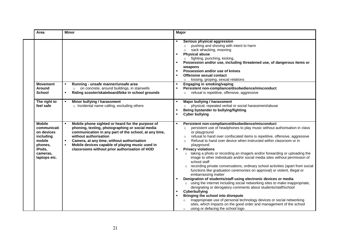| Area                                                                                                               | <b>Minor</b>                                                                                                                                                                                                                                                                                                                                                                                  | Major                                                                                                                                                                                                                                                                                                                                                                                                                                                                                                                                                                                                                                                                                                                                                                                                                                                                                                                                                                                                                                                                                                                                                                                                                                                        |
|--------------------------------------------------------------------------------------------------------------------|-----------------------------------------------------------------------------------------------------------------------------------------------------------------------------------------------------------------------------------------------------------------------------------------------------------------------------------------------------------------------------------------------|--------------------------------------------------------------------------------------------------------------------------------------------------------------------------------------------------------------------------------------------------------------------------------------------------------------------------------------------------------------------------------------------------------------------------------------------------------------------------------------------------------------------------------------------------------------------------------------------------------------------------------------------------------------------------------------------------------------------------------------------------------------------------------------------------------------------------------------------------------------------------------------------------------------------------------------------------------------------------------------------------------------------------------------------------------------------------------------------------------------------------------------------------------------------------------------------------------------------------------------------------------------|
| <b>Movement</b>                                                                                                    | Running - unsafe manner/unsafe area                                                                                                                                                                                                                                                                                                                                                           | Serious physical aggression<br>pushing and shoving with intent to harm<br>$\circ$<br>sack whacking, mooning<br>$\circ$<br><b>Physical abuse</b><br>$\blacksquare$<br>fighting, punching, kicking,<br>$\circ$<br>Possession and/or use, including threatened use, of dangerous items or<br>weapons<br>Possession and/or use of knives<br><b>Offensive sexual contact</b><br>kissing, groping, sexual relations<br>$\circ$<br><b>Engaging in smoking/vaping</b>                                                                                                                                                                                                                                                                                                                                                                                                                                                                                                                                                                                                                                                                                                                                                                                                |
| Around<br><b>School</b>                                                                                            | on concrete, around buildings, in stairwells<br>$\circ$<br>Riding scooter/skateboard/bike in school grounds                                                                                                                                                                                                                                                                                   | Persistent non-compliance/disobedience/misconduct<br>refusal is repetitive, offensive, aggressive<br>$\circ$                                                                                                                                                                                                                                                                                                                                                                                                                                                                                                                                                                                                                                                                                                                                                                                                                                                                                                                                                                                                                                                                                                                                                 |
| The right to<br>feel safe                                                                                          | Minor bullying / harassment<br>$\blacksquare$<br>o Incidental name calling, excluding others                                                                                                                                                                                                                                                                                                  | Major bullying / harassment<br>physical, repeated verbal or social harassment/abuse<br>$\circ$<br>Being bystander to bullying/fighting<br><b>Cyber bullying</b>                                                                                                                                                                                                                                                                                                                                                                                                                                                                                                                                                                                                                                                                                                                                                                                                                                                                                                                                                                                                                                                                                              |
| <b>Mobile</b><br>communicati<br>on devices<br>including<br>mobile<br>phones,<br>iPods,<br>cameras,<br>laptops etc. | Mobile phone sighted or heard for the purpose of<br>$\blacksquare$<br>phoning, texting, photographing or social media<br>communication in any part of the school, at any time,<br>without authorisation<br>Camera, at any time, without authorisation<br>$\blacksquare$<br>Mobile devices capable of playing music used in<br>$\blacksquare$<br>classrooms without prior authorisation of HOD | Persistent non-compliance/disobedience/misconduct<br>persistent use of headphones to play music without authorisation in class<br>$\circ$<br>or playground<br>refusal to hand over confiscated items is repetitive, offensive, aggressive<br>$\circ$<br>Refusal to hand over device when instructed within classroom or in<br>$\circ$<br>playground<br><b>Privacy violations</b><br>taking a photo or recording an image/s and/or forwarding or uploading the<br>$\circ$<br>image to other individuals and/or social media sites without permission of<br>school staff<br>recording private conversations, ordinary school activities (apart from social<br>$\circ$<br>functions like graduation ceremonies on approval) or violent, illegal or<br>embarrassing matter<br>Denigration of students/staff using electronic devices or media<br>using the internet including social networking sites to make inappropriate,<br>$\circ$<br>denigrating or derogatory comments about students/staff/school<br>Cyberbullying<br>Bringing the school into disrepute<br>Inappropriate use of personal technology devices or social networking<br>sites, which impacts on the good order and management of the school<br>using or defacing the school logo<br>$\circ$ |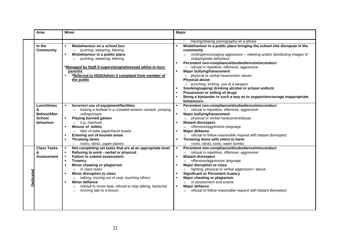|           | Area                                                                 | <b>Minor</b>                                                                                                                                                                                                                                                                                                                                                                                                                                                                                                                            | <b>Major</b>                                                                                                                                                                                                                                                                                                                                                                                                                                                                                                                                                                                                                                                                                                 |
|-----------|----------------------------------------------------------------------|-----------------------------------------------------------------------------------------------------------------------------------------------------------------------------------------------------------------------------------------------------------------------------------------------------------------------------------------------------------------------------------------------------------------------------------------------------------------------------------------------------------------------------------------|--------------------------------------------------------------------------------------------------------------------------------------------------------------------------------------------------------------------------------------------------------------------------------------------------------------------------------------------------------------------------------------------------------------------------------------------------------------------------------------------------------------------------------------------------------------------------------------------------------------------------------------------------------------------------------------------------------------|
|           | In the<br><b>Community</b>                                           | Misbehaviour on a school bus<br>$\blacksquare$<br>pushing, swearing, littering<br>$\circ$<br>Misbehaviour in a public place<br>$\blacksquare$<br>pushing, swearing, littering<br>$\circ$<br>*Managed by Staff if supervising/witnessed whilst in loco-<br>parentis<br>*Referred to HOD/Admin if complaint from member of<br>$\blacksquare$<br>the public                                                                                                                                                                                | Having/sharing pornography on a phone<br>$\circ$<br>Misbehaviour in a public place bringing the school into disrepute in the<br>community<br>inciting/encouraging aggression - videoing and/or distributing images of<br>$\circ$<br>inappropriate behaviour<br>Persistent non-compliance/disobedience/misconduct<br>o refusal is repetitive, offensive, aggressive<br>Major bullying/harassment<br>$\blacksquare$<br>o physical or verbal harassment, abuse<br><b>Physical abuse</b><br>o punching, kicking, use of a weapon<br>Smoking/vaping/ drinking alcohol in school uniform<br>Possession or selling of drugs<br>Being a bystander in such a way as to support/encourage inappropriate<br>behaviours. |
|           | Lunchtimes<br>&<br><b>Before/After</b><br><b>School</b><br>behaviour | Incorrect use of equipment/facilities<br>$\blacksquare$<br>kicking a football in a crowded area/on cement, jumping<br>$\circ$<br>railings/stairs<br><b>Playing banned games</b><br>٠<br>e.g. manhunt<br>$\circ$<br><b>Misuse of toilets</b><br>$\blacksquare$<br>litter of toilet paper/hand towels<br>$\circ$<br><b>Entering out of bounds areas</b><br>$\blacksquare$<br><b>Throwing items</b><br>$\blacksquare$<br>o rocks, sticks, paper planes                                                                                     | Persistent non-compliance/disobedience/misconduct<br>refusal is repetitive, offensive, aggressive<br>$\circ$<br>Major bullying/harassment<br>physical or verbal harassment/abuse<br>$\circ$<br><b>Blatant disrespect</b><br>offensive/aggressive language<br>$\circ$<br>Major defiance<br>٠<br>refusal to follow reasonable request with blatant disrespect<br>Throwing items with intent to harm<br>rocks, sticks, tools, water bombs<br>$\circ$                                                                                                                                                                                                                                                            |
| Dedicated | <b>Class Tasks</b><br>&<br>Assessment                                | Not completing set tasks that are at an appropriate level<br>$\blacksquare$<br>Refusing to work - verbal or physical<br><b>Failure to submit assessment</b><br>л.<br><b>Truancy</b><br>$\blacksquare$<br>Minor cheating or plagiarism<br>$\blacksquare$<br>$\circ$ in class tasks<br>Minor disruption to class<br>٠<br>talking, moving out of seat, touching others<br>$\circ$<br><b>Minor defiance</b><br>$\blacksquare$<br>refusal to move seat, refusal to stop talking, backchat<br>$\circ$<br>Arriving late to a lesson<br>$\circ$ | Persistent non-compliance/disobedience/misconduct<br>$\blacksquare$<br>refusal is repetitive, offensive, aggressive<br>$\circ$<br><b>Blatant disrespect</b><br>offensive/aggressive language<br>$\circ$<br><b>Major disruption to class</b><br>fighting, physical or verbal aggression / abuse<br>$\circ$<br><b>Significant or Persistent truancy</b><br>Major cheating or plagiarism<br>in assessment and exams<br>$\cap$<br><b>Major defiance</b><br>٠.<br>refusal to follow reasonable request with blatant disrespect<br>$\circ$                                                                                                                                                                         |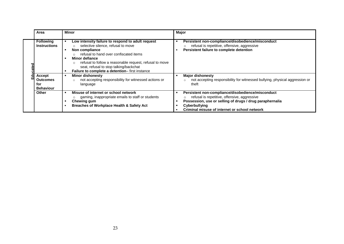|       | Area                                                 | <b>Minor</b>                                                                                                                                                                                                                                                                                                                            | <b>Major</b>                                                                                                                                                                                                                           |
|-------|------------------------------------------------------|-----------------------------------------------------------------------------------------------------------------------------------------------------------------------------------------------------------------------------------------------------------------------------------------------------------------------------------------|----------------------------------------------------------------------------------------------------------------------------------------------------------------------------------------------------------------------------------------|
| cated | <b>Following</b><br><b>Instructions</b>              | Low intensity failure to respond to adult request<br>selective silence, refusal to move<br>Non compliance<br>refusal to hand over confiscated items<br>Minor defiance<br>refusal to follow a reasonable request, refusal to move<br>$\circ$<br>seat, refusal to stop talking/backchat<br>Failure to complete a detention-first instance | Persistent non-compliance/disobedience/misconduct<br>refusal is repetitive, offensive, aggressive<br>Persistent failure to complete detention                                                                                          |
|       | Accept<br><b>Outcomes</b><br>for<br><b>Behaviour</b> | <b>Minor dishonesty</b><br>л<br>not accepting responsibility for witnessed actions or<br>$\circ$<br>language                                                                                                                                                                                                                            | <b>Major dishonesty</b><br>not accepting responsibility for witnessed bullying, physical aggression or<br>theft                                                                                                                        |
|       | <b>Other</b>                                         | Misuse of internet or school network<br>л<br>gaming, inappropriate emails to staff or students<br>Chewing gum<br>Breaches of Workplace Health & Safety Act                                                                                                                                                                              | Persistent non-compliance/disobedience/misconduct<br>refusal is repetitive, offensive, aggressive<br>Possession, use or selling of drugs / drug paraphernalia<br><b>Cyberbullying</b><br>Criminal misuse of internet or school network |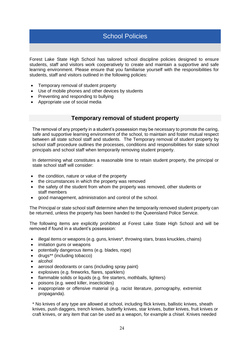## <span id="page-23-0"></span>School Policies

Forest Lake State High School has tailored school discipline policies designed to ensure students, staff and visitors work cooperatively to create and maintain a supportive and safe learning environment. Please ensure that you familiarise yourself with the responsibilities for students, staff and visitors outlined in the following policies:

- Temporary removal of student property
- Use of mobile phones and other devices by students
- Preventing and responding to bullying
- Appropriate use of social media

#### **Temporary removal of student property**

<span id="page-23-1"></span>The removal of any property in a student's possession may be necessary to promote the caring, safe and supportive learning environment of the school, to maintain and foster mutual respect between all state school staff and students. The Temporary removal of student property by school staff procedure outlines the processes, conditions and responsibilities for state school principals and school staff when temporarily removing student property.

In determining what constitutes a reasonable time to retain student property, the principal or state school staff will consider:

- the condition, nature or value of the property
- the circumstances in which the property was removed
- the safety of the student from whom the property was removed, other students or staff members
- good management, administration and control of the school.

The Principal or state school staff determine when the temporarily removed student property can be returned, unless the property has been handed to the Queensland Police Service.

The following items are explicitly prohibited at Forest Lake State High School and will be removed if found in a student's possession:

- illegal items or weapons (e.g. guns, knives\*, throwing stars, brass knuckles, chains)
- imitation guns or weapons
- potentially dangerous items (e.g. blades, rope)
- drugs\*\* (including tobacco)
- alcohol
- aerosol deodorants or cans (including spray paint)
- explosives (e.g. fireworks, flares, sparklers)
- flammable solids or liquids (e.g. fire starters, mothballs, lighters)
- poisons (e.g. weed killer, insecticides)
- inappropriate or offensive material (e.g. racist literature, pornography, extremist propaganda).

\* No knives of any type are allowed at school, including flick knives, ballistic knives, sheath knives, push daggers, trench knives, butterfly knives, star knives, butter knives, fruit knives or craft knives, or any item that can be used as a weapon, for example a chisel. Knives needed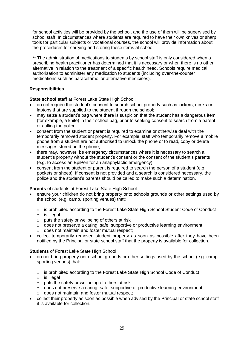for school activities will be provided by the school, and the use of them will be supervised by school staff. In circumstances where students are required to have their own knives or sharp tools for particular subjects or vocational courses, the school will provide information about the procedures for carrying and storing these items at school.

\*\* The administration of medications to students by school staff is only considered when a prescribing health practitioner has determined that it is necessary or when there is no other alternative in relation to the treatment of a specific health need. Schools require medical authorisation to administer any medication to students (including over-the-counter medications such as paracetamol or alternative medicines).

#### **Responsibilities**

**State school staff** at Forest Lake State High School:

- do not require the student's consent to search school property such as lockers, desks or laptops that are supplied to the student through the school;
- may seize a student's bag where there is suspicion that the student has a dangerous item (for example, a knife) in their school bag, prior to seeking consent to search from a parent or calling the police;
- consent from the student or parent is required to examine or otherwise deal with the temporarily removed student property. For example, staff who temporarily remove a mobile phone from a student are not authorised to unlock the phone or to read, copy or delete messages stored on the phone;
- there may, however, be emergency circumstances where it is necessary to search a student's property without the student's consent or the consent of the student's parents (e.g. to access an EpiPen for an anaphylactic emergency);
- consent from the student or parent is required to search the person of a student (e.g. pockets or shoes). If consent is not provided and a search is considered necessary, the police and the student's parents should be called to make such a determination.

#### **Parents** of students at Forest Lake State High School

- ensure your children do not bring property onto schools grounds or other settings used by the school (e.g. camp, sporting venues) that:
	- o is prohibited according to the Forest Lake State High School Student Code of Conduct
	- $\circ$  is illegal
	- o puts the safety or wellbeing of others at risk
	- o does not preserve a caring, safe, supportive or productive learning environment o does not maintain and foster mutual respect;
- collect temporarily removed student property as soon as possible after they have been notified by the Principal or state school staff that the property is available for collection.

#### **Students** of Forest Lake State High School

- do not bring property onto school grounds or other settings used by the school (e.g. camp, sporting venues) that:
	- $\circ$  is prohibited according to the Forest Lake State High School Code of Conduct
	- $\circ$  is illegal
	- o puts the safety or wellbeing of others at risk
	- $\circ$  does not preserve a caring, safe, supportive or productive learning environment
	- o does not maintain and foster mutual respect;
- collect their property as soon as possible when advised by the Principal or state school staff it is available for collection.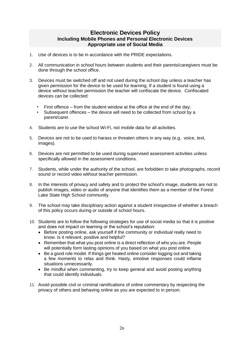#### **Electronic Devices Policy Including Mobile Phones and Personal Electronic Devices Appropriate use of Social Media**

- <span id="page-25-2"></span><span id="page-25-1"></span><span id="page-25-0"></span>1. Use of devices is to be in accordance with the PRIDE expectations.
- 2. All communication in school hours between students and their parents/caregivers must be done through the school office.
- 3. Devices must be switched off and not used during the school day unless a teacher has given permission for the device to be used for learning. If a student is found using a device without teacher permission the teacher will confiscate the device. Confiscated devices can be collected:
	- First offence from the student window at the office at the end of the day;
	- Subsequent offences the device will need to be collected from school by a parent/carer.
- 4. Students are to use the school Wi-Fi, not mobile data for all activities.
- 5. Devices are not to be used to harass or threaten others in any way (e.g. voice, text, images).
- 6. Devices are not permitted to be used during supervised assessment activities unless specifically allowed in the assessment conditions.
- 7. Students, while under the authority of the school, are forbidden to take photographs, record sound or record video without teacher permission.
- 8. In the interests of privacy and safety and to protect the school's image, students are not to publish images, video or audio of anyone that identifies them as a member of the Forest Lake State High School community.
- 9. The school may take disciplinary action against a student irrespective of whether a breach of this policy occurs during or outside of school hours.
- 10. Students are to follow the following strategies for use of social media so that it is positive and does not impact on learning or the school's reputation:
	- Before posting online, ask yourself if the community or individual really need to know. Is it relevant, positive and helpful?
	- Remember that what you post online is a direct reflection of who you are. People will potentially form lasting opinions of you based on what you post online.
	- Be a good role model. If things get heated online consider logging out and taking a few moments to relax and think. Hasty, emotive responses could inflame situations unnecessarily.
	- Be mindful when commenting, try to keep general and avoid posting anything that could identify individuals.
- 11. Avoid possible civil or criminal ramifications of online commentary by respecting the privacy of others and behaving online as you are expected to in person.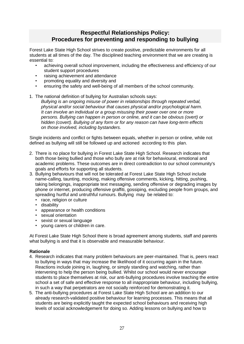## **Respectful Relationships Policy: Procedures for preventing and responding to bullying**

<span id="page-26-1"></span><span id="page-26-0"></span>Forest Lake State High School strives to create positive, predictable environments for all students at all times of the day. The disciplined teaching environment that we are creating is essential to:

- achieving overall school improvement, including the effectiveness and efficiency of our student support procedures
- raising achievement and attendance
- promoting equality and diversity and
- ensuring the safety and well-being of all members of the school community.
- 1. The national definition of bullying for Australian schools says:

*Bullying is an ongoing misuse of power in relationships through repeated verbal, physical and/or social behaviour that causes physical and/or psychological harm. It can involve an individual or a group misusing their power over one or more persons. Bullying can happen in person or online, and it can be obvious (overt) or hidden (covert). Bullying of any form or for any reason can have long-term effects on those involved, including bystanders.*

Single incidents and conflict or fights between equals, whether in person or online, while not defined as bullying will still be followed up and actioned according to this plan.

- 2. There is no place for bullying in Forest Lake State High School. Research indicates that both those being bullied and those who bully are at risk for behavioural, emotional and academic problems. These outcomes are in direct contradiction to our school community's goals and efforts for supporting all students.
- 3. Bullying behaviours that will not be tolerated at Forest Lake State High School include name-calling, taunting, mocking, making offensive comments, kicking, hitting, pushing, taking belongings, inappropriate text messaging, sending offensive or degrading images by phone or internet, producing offensive graffiti, gossiping, excluding people from groups, and spreading hurtful and untruthful rumours. Bullying may be related to:
	- race, religion or culture
	- disability
	- appearance or health conditions
	- sexual orientation
	- sexist or sexual language
	- young carers or children in care.

At Forest Lake State High School there is broad agreement among students, staff and parents what bullying is and that it is observable and measurable behaviour.

#### **Rationale**

- 4. Research indicates that many problem behaviours are peer-maintained. That is, peers react to bullying in ways that may increase the likelihood of it occurring again in the future. Reactions include joining in, laughing, or simply standing and watching, rather than intervening to help the person being bullied. Whilst our school would never encourage students to place themselves at risk, our anti-bullying procedures involve teaching the entire school a set of safe and effective response to all inappropriate behaviour, including bullying, in such a way that perpetrators are not socially reinforced for demonstrating it.
- 5. The anti-bullying procedures at Forest Lake State High School are an addition to our already research-validated positive behaviour for learning processes. This means that all students are being explicitly taught the expected school behaviours and receiving high levels of social acknowledgement for doing so. Adding lessons on bullying and how to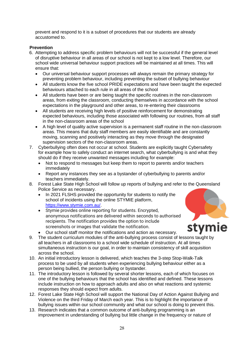prevent and respond to it is a subset of procedures that our students are already accustomed to.

#### **Prevention**

- 6. Attempting to address specific problem behaviours will not be successful if the general level of disruptive behaviour in all areas of our school is not kept to a low level. Therefore, our school wide universal behaviour support practices will be maintained at all times. This will ensure that:
	- Our universal behaviour support processes will always remain the primary strategy for preventing problem behaviour, including preventing the subset of bullying behaviour
	- All students know the five school PRIDE expectations and have been taught the expected behaviours attached to each rule in all areas of the school
	- All students have been or are being taught the specific routines in the non-classroom areas, from exiting the classroom, conducting themselves in accordance with the school expectations in the playground and other areas, to re-entering their classrooms
	- All students are receiving high levels of positive reinforcement for demonstrating expected behaviours, including those associated with following our routines, from all staff in the non-classroom areas of the school
	- A high level of quality active supervision is a permanent staff routine in the non-classroom areas. This means that duty staff members are easily identifiable and are constantly moving, scanning and positively interacting as they move through the designated supervision sectors of the non-classroom areas.
- 7. Cyberbullying often does not occur at school. Students are explicitly taught Cybersafety for example how to safely conduct an internet search, what cyberbullying is and what they should do if they receive unwanted messages including for example:
	- Not to respond to messages but keep them to report to parents and/or teachers immediately
	- Report any instances they see as a bystander of cyberbullying to parents and/or teachers immediately.
- 8. Forest Lake State High School will follow up reports of bullying and refer to the Queensland Police Service as necessary.
	- In 2021 FLSHS provided the opportunity for students to notify the school of incidents using the online STYMIE platform, [https://www.stymie.com.au/.](https://www.stymie.com.au/)
	- Stymie provides online reporting for students. Encrypted, anonymous notifications are delivered within seconds to authorised recipients. The notification provides the option to include screenshots or images that validate the notification.



- Our school staff monitor the notifications and action as necessary.
- 9. The student curriculum modules of the anti-bullying process consist of lessons taught by all teachers in all classrooms to a school wide schedule of instruction. At all times simultaneous instruction is our goal, in order to maintain consistency of skill acquisition across the school.
- 10. An initial introductory lesson is delivered, which teaches the 3-step Stop-Walk-Talk process to be used by all students when experiencing bullying behaviour either as a person being bullied, the person bullying or bystander.
- 11. The introductory lesson is followed by several shorter lessons, each of which focuses on one of the bullying behaviours that the school has identified and defined. These lessons include instruction on how to approach adults and also on what reactions and systemic responses they should expect from adults.
- 12. Forest Lake State High School will support the National Day of Action Against Bullying and Violence on the third Friday of March each year. This is to highlight the importance of bullying issues within our school community and what our school is doing to prevent this.
- 13. Research indicates that a common outcome of anti-bullying programming is an improvement in understanding of bullying but little change in the frequency or nature of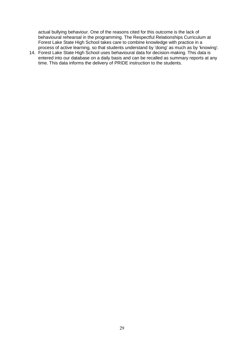actual bullying behaviour. One of the reasons cited for this outcome is the lack of behavioural rehearsal in the programming. The Respectful Relationships Curriculum at Forest Lake State High School takes care to combine knowledge with practice in a process of active learning, so that students understand by 'doing' as much as by 'knowing'.

14. Forest Lake State High School uses behavioural data for decision-making. This data is entered into our database on a daily basis and can be recalled as summary reports at any time. This data informs the delivery of PRIDE instruction to the students.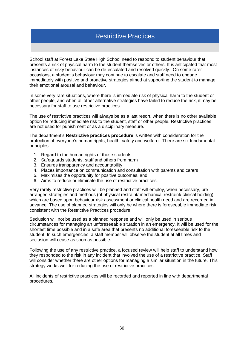## <span id="page-29-0"></span>Restrictive Practices

School staff at Forest Lake State High School need to respond to student behaviour that presents a risk of physical harm to the student themselves or others. It is anticipated that most instances of risky behaviour can be de-escalated and resolved quickly. On some rarer occasions, a student's behaviour may continue to escalate and staff need to engage immediately with positive and proactive strategies aimed at supporting the student to manage their emotional arousal and behaviour.

In some very rare situations, where there is immediate risk of physical harm to the student or other people, and when all other alternative strategies have failed to reduce the risk, it may be necessary for staff to use restrictive practices.

The use of restrictive practices will always be as a last resort, when there is no other available option for reducing immediate risk to the student, staff or other people. Restrictive practices are not used for punishment or as a disciplinary measure.

The department's **Restrictive practices procedure** is written with consideration for the protection of everyone's human rights, health, safety and welfare. There are six fundamental principles:

- 1. Regard to the human rights of those students
- 2. Safeguards students, staff and others from harm
- 3. Ensures transparency and accountability
- 4. Places importance on communication and consultation with parents and carers
- 5. Maximises the opportunity for positive outcomes, and
- 6. Aims to reduce or eliminate the use of restrictive practices.

Very rarely restrictive practices will be planned and staff will employ, when necessary, prearranged strategies and methods (of physical restraint/ mechanical restraint/ clinical holding) which are based upon behaviour risk assessment or clinical health need and are recorded in advance. The use of planned strategies will only be where there is foreseeable immediate risk consistent with the Restrictive Practices procedure.

Seclusion will not be used as a planned response and will only be used in serious circumstances for managing an unforeseeable situation in an emergency. It will be used for the shortest time possible and in a safe area that presents no additional foreseeable risk to the student. In such emergencies, a staff member will observe the student at all times and seclusion will cease as soon as possible.

Following the use of any restrictive practice, a focused review will help staff to understand how they responded to the risk in any incident that involved the use of a restrictive practice. Staff will consider whether there are other options for managing a similar situation in the future. This strategy works well for reducing the use of restrictive practices.

All incidents of restrictive practices will be recorded and reported in line with departmental procedures.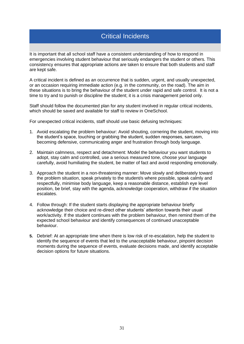## <span id="page-30-0"></span>Critical Incidents

It is important that all school staff have a consistent understanding of how to respond in emergencies involving student behaviour that seriously endangers the student or others. This consistency ensures that appropriate actions are taken to ensure that both students and staff are kept safe.

A critical incident is defined as an occurrence that is sudden, urgent, and usually unexpected, or an occasion requiring immediate action (e.g. in the community, on the road). The aim in these situations is to bring the behaviour of the student under rapid and safe control. It is not a time to try and to punish or discipline the student; it is a crisis management period only.

Staff should follow the documented plan for any student involved in regular critical incidents, which should be saved and available for staff to review in OneSchool.

For unexpected critical incidents, staff should use basic defusing techniques:

- 1. Avoid escalating the problem behaviour: Avoid shouting, cornering the student, moving into the student's space, touching or grabbing the student, sudden responses, sarcasm, becoming defensive, communicating anger and frustration through body language.
- 2. Maintain calmness, respect and detachment: Model the behaviour you want students to adopt, stay calm and controlled, use a serious measured tone, choose your language carefully, avoid humiliating the student, be matter of fact and avoid responding emotionally.
- 3. Approach the student in a non-threatening manner: Move slowly and deliberately toward the problem situation, speak privately to the student/s where possible, speak calmly and respectfully, minimise body language, keep a reasonable distance, establish eye level position, be brief, stay with the agenda, acknowledge cooperation, withdraw if the situation escalates.
- 4. Follow through: If the student starts displaying the appropriate behaviour briefly acknowledge their choice and re-direct other students' attention towards their usual work/activity. If the student continues with the problem behaviour, then remind them of the expected school behaviour and identify consequences of continued unacceptable behaviour.
- **5.** Debrief: At an appropriate time when there is low risk of re-escalation, help the student to identify the sequence of events that led to the unacceptable behaviour, pinpoint decision moments during the sequence of events, evaluate decisions made, and identify acceptable decision options for future situations.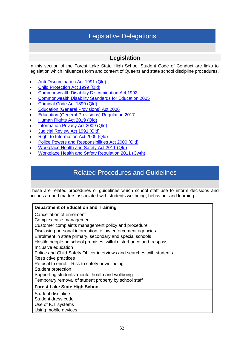## Legislative Delegations

#### **Legislation**

<span id="page-31-0"></span>In this section of the Forest Lake State High School Student Code of Conduct are links to legislation which influences form and content of Queensland state school discipline procedures.

- [Anti-Discrimination Act 1991 \(Qld\)](http://www8.austlii.edu.au/cgi-bin/viewdb/au/legis/qld/consol_act/aa1991204/)
- [Child Protection Act 1999 \(Qld\)](https://www.legislation.qld.gov.au/view/html/inforce/current/act-1999-010)
- [Commonwealth Disability Discrimination Act 1992](https://www.legislation.gov.au/Details/C2016C00763)
- [Commonwealth Disability Standards for Education 2005](https://docs.education.gov.au/node/16354)
- [Criminal Code Act 1899 \(Qld\)](https://www.legislation.qld.gov.au/view/html/inforce/2018-03-16/act-1899-009)
- [Education \(General Provisions\) Act 2006](https://www.legislation.qld.gov.au/view/html/inforce/2018-05-01/act-2006-039)
- [Education \(General Provisions\) Regulation](http://classic.austlii.edu.au/au/legis/qld/consol_reg/epr2017396/) 2017
- [Human Rights Act 2019 \(Qld\)](https://www.legislation.qld.gov.au/view/html/asmade/act-2019-005)
- [Information Privacy Act 2009 \(Qld\)](https://www.legislation.qld.gov.au/view/html/inforce/current/act-2009-014)
- [Judicial Review Act 1991 \(Qld\)](https://www.legislation.qld.gov.au/view/html/inforce/current/act-1991-100)
- [Right to Information Act 2009 \(Qld\)](https://www.legislation.qld.gov.au/view/html/inforce/current/act-2009-013)
- [Police Powers and Responsibilities Act 2000 \(Qld\)](http://www8.austlii.edu.au/cgi-bin/viewdb/au/legis/qld/consol_act/ppara2000365/)
- [Workplace Health and Safety Act 2011 \(Qld\)](https://www.legislation.qld.gov.au/view/html/inforce/2018-07-01/act-2011-018)
- [Workplace Health and Safety Regulation](https://www.legislation.gov.au/Details/F2011L02664) 2011 (Cwth)

## <span id="page-31-1"></span>Related Procedures and Guidelines

These are related procedures or guidelines which school staff use to inform decisions and actions around matters associated with students wellbeing, behaviour and learning.

| <b>Department of Education and Training</b>                                                                                                                                                                                                                                                                                                                                                                                                                                                                                                                                                                                 |
|-----------------------------------------------------------------------------------------------------------------------------------------------------------------------------------------------------------------------------------------------------------------------------------------------------------------------------------------------------------------------------------------------------------------------------------------------------------------------------------------------------------------------------------------------------------------------------------------------------------------------------|
| Cancellation of enrolment<br>Complex case management<br>Customer complaints management policy and procedure<br>Disclosing personal information to law enforcement agencies<br>Enrolment in state primary, secondary and special schools<br>Hostile people on school premises, wilful disturbance and trespass<br>Inclusive education<br>Police and Child Safety Officer interviews and searches with students<br>Restrictive practices<br>Refusal to enrol - Risk to safety or wellbeing<br>Student protection<br>Supporting students' mental health and wellbeing<br>Temporary removal of student property by school staff |
| <b>Forest Lake State High School</b>                                                                                                                                                                                                                                                                                                                                                                                                                                                                                                                                                                                        |
| Student discipline<br>Student dress code<br>Use of ICT systems<br>Using mobile devices                                                                                                                                                                                                                                                                                                                                                                                                                                                                                                                                      |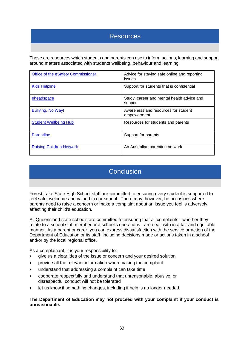## <span id="page-32-0"></span>Resources

These are resources which students and parents can use to inform actions, learning and support around matters associated with students wellbeing, behaviour and learning.

| Office of the eSafety Commissioner | Advice for staying safe online and reporting<br>issues |
|------------------------------------|--------------------------------------------------------|
| <b>Kids Helpline</b>               | Support for students that is confidential              |
| <b>eheadspace</b>                  | Study, career and mental health advice and<br>support  |
| <b>Bullying. No Way!</b>           | Awareness and resources for student<br>empowerment     |
| <b>Student Wellbeing Hub</b>       | Resources for students and parents                     |
| <b>Parentline</b>                  | Support for parents                                    |
| <b>Raising Children Network</b>    | An Australian parenting network                        |

## **Conclusion**

<span id="page-32-1"></span>Forest Lake State High School staff are committed to ensuring every student is supported to feel safe, welcome and valued in our school. There may, however, be occasions where parents need to raise a concern or make a complaint about an issue you feel is adversely affecting their child's education.

All Queensland state schools are committed to ensuring that all complaints - whether they relate to a school staff member or a school's operations - are dealt with in a fair and equitable manner. As a parent or carer, you can express dissatisfaction with the service or action of the Department of Education or its staff, including decisions made or actions taken in a school and/or by the local regional office.

As a complainant, it is your responsibility to:

- give us a clear idea of the issue or concern and your desired solution
- provide all the relevant information when making the complaint
- understand that addressing a complaint can take time
- cooperate respectfully and understand that unreasonable, abusive, or disrespectful conduct will not be tolerated
- let us know if something changes, including if help is no longer needed.

**The Department of Education may not proceed with your complaint if your conduct is unreasonable.**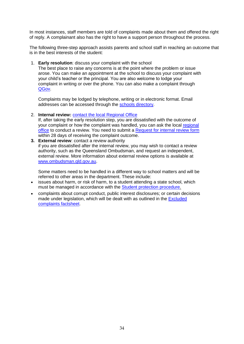In most instances, staff members are told of complaints made about them and offered the right of reply. A complainant also has the right to have a support person throughout the process.

The following three-step approach assists parents and school staff in reaching an outcome that is in the best interests of the student:

1. **Early resolution**: discuss your complaint with the school

The best place to raise any concerns is at the point where the problem or issue arose. You can make an appointment at the school to discuss your complaint with your child's teacher or the principal. You are also welcome to lodge your complaint in writing or over the phone. You can also make a complaint through [QGov.](https://www.complaints.services.qld.gov.au/)

Complaints may be lodged by telephone, writing or in electronic format. Email addresses can be accessed through the [schools directory.](https://schoolsdirectory.eq.edu.au/)

2. **Internal review:** [contact the local Regional](https://education.qld.gov.au/contact-us/state-schools-regional-contacts) Office

If, after taking the early resolution step, you are dissatisfied with the outcome of your complaint or how the complaint was handled, you can ask the local [regional](https://education.qld.gov.au/contact-us/state-schools-regional-contacts) [office](https://education.qld.gov.au/contact-us/state-schools-regional-contacts) to conduct a review. You need to submit a [Request for internal review form](http://ppr.det.qld.gov.au/corp/governance/Procedure%20Attachments/Customer%20complaints%20management/Request%20for%20internal%20review%20form.docx) within 28 days of receiving the complaint outcome.

**3. External review**: contact a review authority if you are dissatisfied after the internal review, you may wish to contact a review authority, such as the Queensland Ombudsman, and request an independent, external review. More information about external review options is available at [www.ombudsman.qld.gov.au.](http://www.ombudsman.qld.gov.au/)

Some matters need to be handled in a different way to school matters and will be referred to other areas in the department. These include:

- issues about harm, or risk of harm, to a student attending a state school, which must be managed in accordance with the [Student protection procedure.](http://ppr.det.qld.gov.au/education/community/Procedure%20Attachments/Student%20Protection/student-protection.pdf)
- complaints about corrupt conduct, public interest disclosures; or certain decisions made under legislation, which will be dealt with as outlined in the **Excluded** [complaints factsheet.](http://ppr.det.qld.gov.au/pif/policies/Documents/Excluded-complaints-factsheet.pdf)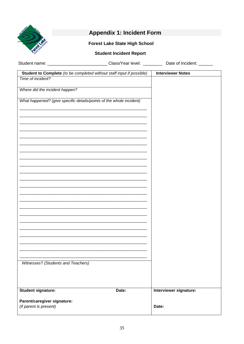<span id="page-34-0"></span>

## **Appendix 1: Incident Form**

#### **Forest Lake State High School**

#### **Student Incident Report**

Student name: \_\_\_\_\_\_\_\_\_\_\_\_\_\_\_\_\_\_\_\_\_\_\_\_\_\_\_\_\_\_\_\_Class/Year level: \_\_\_\_\_\_\_\_\_\_\_\_\_Date of Incident: \_\_\_\_\_\_\_\_\_\_

| Student to Complete (to be completed without staff input if possible) | <b>Interviewer Notes</b> |
|-----------------------------------------------------------------------|--------------------------|
| Time of incident?                                                     |                          |
| Where did the incident happen?                                        |                          |
| What happened? (give specific details/points of the whole incident)   |                          |
|                                                                       |                          |
|                                                                       |                          |
|                                                                       |                          |
|                                                                       |                          |
|                                                                       |                          |
|                                                                       |                          |
|                                                                       |                          |
|                                                                       |                          |
|                                                                       |                          |
|                                                                       |                          |
|                                                                       |                          |
|                                                                       |                          |
|                                                                       |                          |
|                                                                       |                          |
|                                                                       |                          |
| Witnesses? (Students and Teachers)                                    |                          |
|                                                                       |                          |
| <b>Student signature:</b><br>Date:                                    | Interviewer signature:   |
|                                                                       |                          |
| Parent/caregiver signature:<br>(if parent is present)                 | Date:                    |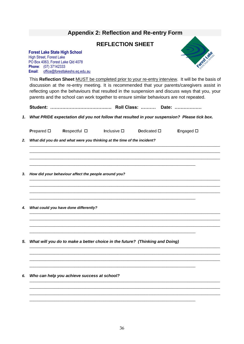## <span id="page-35-0"></span>**Appendix 2: Reflection and Re-entry Form**

#### **REFLECTION SHEET**

#### **Forest Lake State High School** High Street, Forest Lake

PO Box 4063, Forest Lake Qld 4078 **Phone**: (07) 37142333 **Email**: [office@forestlakeshs.eq.edu.au](mailto:office@forestlakeshs.eq.edu.au)



This **Reflection Sheet** MUST be completed prior to your re-entry interview. It will be the basis of discussion at the re-entry meeting. It is recommended that your parents/caregivers assist in reflecting upon the behaviours that resulted in the suspension and discuss ways that you, your parents and the school can work together to ensure similar behaviours are not repeated.

**Student: ……………………………….…. Roll Class: .……… Date: ………………**

*1. What PRIDE expectation did you not follow that resulted in your suspension? Please tick box.*

|    | Prepared $\square$ | Respectful $\square$                                                         | Inclusive $\square$ | Dedicated $\square$ | Engaged $\square$ |
|----|--------------------|------------------------------------------------------------------------------|---------------------|---------------------|-------------------|
| 2. |                    | What did you do and what were you thinking at the time of the incident?      |                     |                     |                   |
|    |                    |                                                                              |                     |                     |                   |
|    |                    |                                                                              |                     |                     |                   |
| 3. |                    | How did your behaviour affect the people around you?                         |                     |                     |                   |
|    |                    |                                                                              |                     |                     |                   |
|    |                    |                                                                              |                     |                     |                   |
| 4. |                    | What could you have done differently?                                        |                     |                     |                   |
|    |                    |                                                                              |                     |                     |                   |
|    |                    |                                                                              |                     |                     |                   |
| 5. |                    | What will you do to make a better choice in the future? (Thinking and Doing) |                     |                     |                   |
|    |                    |                                                                              |                     |                     |                   |
|    |                    |                                                                              |                     |                     |                   |
| 6. |                    | Who can help you achieve success at school?                                  |                     |                     |                   |
|    |                    |                                                                              |                     |                     |                   |
|    |                    |                                                                              |                     |                     |                   |